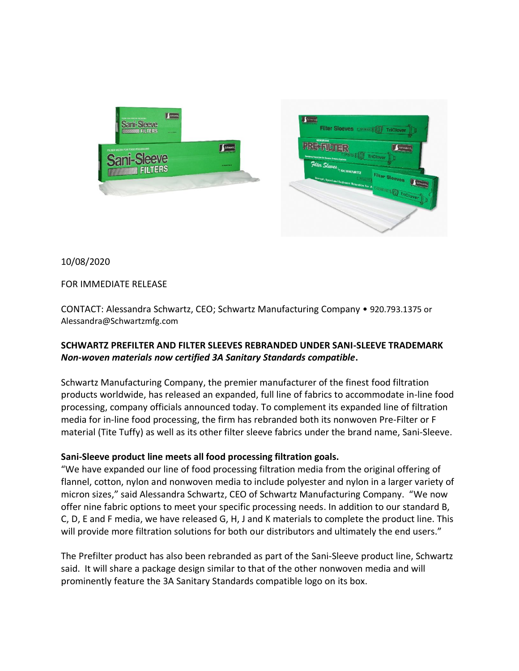

# 10/08/2020

## FOR IMMEDIATE RELEASE

CONTACT: Alessandra Schwartz, CEO; Schwartz Manufacturing Company • 920.793.1375 or Alessandra@Schwartzmfg.com

# **SCHWARTZ PREFILTER AND FILTER SLEEVES REBRANDED UNDER SANI-SLEEVE TRADEMARK** *Non-woven materials now certified 3A Sanitary Standards compatible***.**

Schwartz Manufacturing Company, the premier manufacturer of the finest food filtration products worldwide, has released an expanded, full line of fabrics to accommodate in-line food processing, company officials announced today. To complement its expanded line of filtration media for in-line food processing, the firm has rebranded both its nonwoven Pre-Filter or F material (Tite Tuffy) as well as its other filter sleeve fabrics under the brand name, Sani-Sleeve.

## **Sani-Sleeve product line meets all food processing filtration goals.**

"We have expanded our line of food processing filtration media from the original offering of flannel, cotton, nylon and nonwoven media to include polyester and nylon in a larger variety of micron sizes," said Alessandra Schwartz, CEO of Schwartz Manufacturing Company. "We now offer nine fabric options to meet your specific processing needs. In addition to our standard B, C, D, E and F media, we have released G, H, J and K materials to complete the product line. This will provide more filtration solutions for both our distributors and ultimately the end users."

The Prefilter product has also been rebranded as part of the Sani-Sleeve product line, Schwartz said. It will share a package design similar to that of the other nonwoven media and will prominently feature the 3A Sanitary Standards compatible logo on its box.